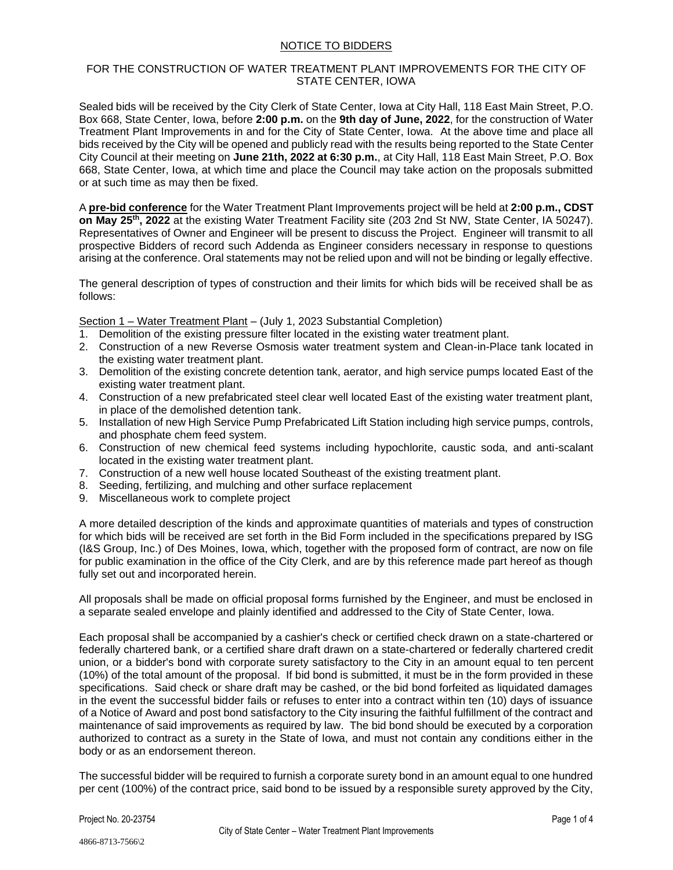## NOTICE TO BIDDERS

## FOR THE CONSTRUCTION OF WATER TREATMENT PLANT IMPROVEMENTS FOR THE CITY OF STATE CENTER, IOWA

Sealed bids will be received by the City Clerk of State Center, Iowa at City Hall, 118 East Main Street, P.O. Box 668, State Center, Iowa, before **2:00 p.m.** on the **9th day of June, 2022**, for the construction of Water Treatment Plant Improvements in and for the City of State Center, Iowa. At the above time and place all bids received by the City will be opened and publicly read with the results being reported to the State Center City Council at their meeting on **June 21th, 2022 at 6:30 p.m.**, at City Hall, 118 East Main Street, P.O. Box 668, State Center, Iowa, at which time and place the Council may take action on the proposals submitted or at such time as may then be fixed.

A **pre-bid conference** for the Water Treatment Plant Improvements project will be held at **2:00 p.m., CDST on May 25th, 2022** at the existing Water Treatment Facility site (203 2nd St NW, State Center, IA 50247). Representatives of Owner and Engineer will be present to discuss the Project. Engineer will transmit to all prospective Bidders of record such Addenda as Engineer considers necessary in response to questions arising at the conference. Oral statements may not be relied upon and will not be binding or legally effective.

The general description of types of construction and their limits for which bids will be received shall be as follows:

Section 1 – Water Treatment Plant – (July 1, 2023 Substantial Completion)

- 1. Demolition of the existing pressure filter located in the existing water treatment plant.
- 2. Construction of a new Reverse Osmosis water treatment system and Clean-in-Place tank located in the existing water treatment plant.
- 3. Demolition of the existing concrete detention tank, aerator, and high service pumps located East of the existing water treatment plant.
- 4. Construction of a new prefabricated steel clear well located East of the existing water treatment plant, in place of the demolished detention tank.
- 5. Installation of new High Service Pump Prefabricated Lift Station including high service pumps, controls, and phosphate chem feed system.
- 6. Construction of new chemical feed systems including hypochlorite, caustic soda, and anti-scalant located in the existing water treatment plant.
- 7. Construction of a new well house located Southeast of the existing treatment plant.
- 8. Seeding, fertilizing, and mulching and other surface replacement
- 9. Miscellaneous work to complete project

A more detailed description of the kinds and approximate quantities of materials and types of construction for which bids will be received are set forth in the Bid Form included in the specifications prepared by ISG (I&S Group, Inc.) of Des Moines, Iowa, which, together with the proposed form of contract, are now on file for public examination in the office of the City Clerk, and are by this reference made part hereof as though fully set out and incorporated herein.

All proposals shall be made on official proposal forms furnished by the Engineer, and must be enclosed in a separate sealed envelope and plainly identified and addressed to the City of State Center, Iowa.

Each proposal shall be accompanied by a cashier's check or certified check drawn on a state-chartered or federally chartered bank, or a certified share draft drawn on a state-chartered or federally chartered credit union, or a bidder's bond with corporate surety satisfactory to the City in an amount equal to ten percent (10%) of the total amount of the proposal. If bid bond is submitted, it must be in the form provided in these specifications. Said check or share draft may be cashed, or the bid bond forfeited as liquidated damages in the event the successful bidder fails or refuses to enter into a contract within ten (10) days of issuance of a Notice of Award and post bond satisfactory to the City insuring the faithful fulfillment of the contract and maintenance of said improvements as required by law. The bid bond should be executed by a corporation authorized to contract as a surety in the State of Iowa, and must not contain any conditions either in the body or as an endorsement thereon.

The successful bidder will be required to furnish a corporate surety bond in an amount equal to one hundred per cent (100%) of the contract price, said bond to be issued by a responsible surety approved by the City,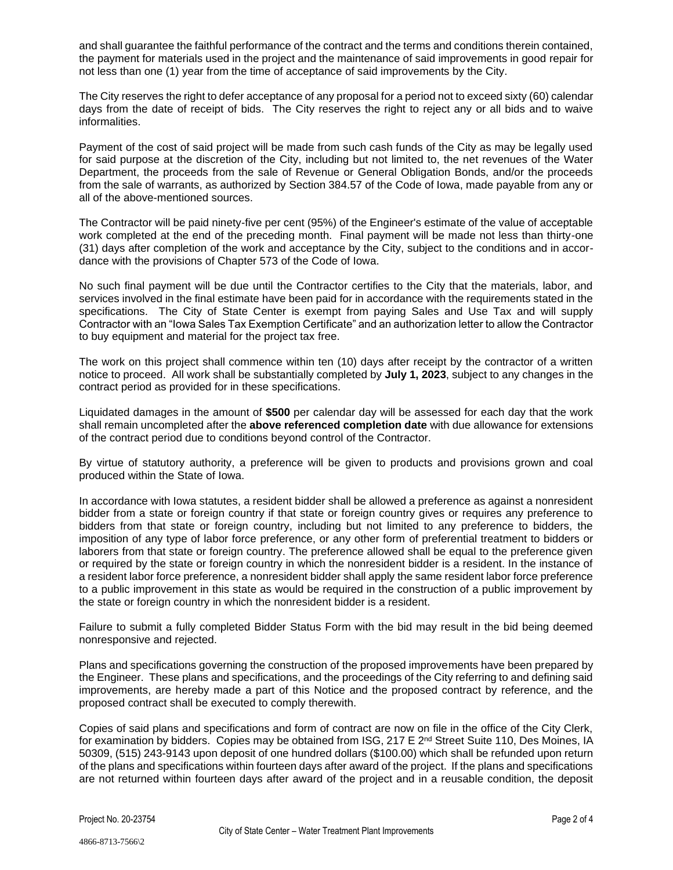and shall guarantee the faithful performance of the contract and the terms and conditions therein contained, the payment for materials used in the project and the maintenance of said improvements in good repair for not less than one (1) year from the time of acceptance of said improvements by the City.

The City reserves the right to defer acceptance of any proposal for a period not to exceed sixty (60) calendar days from the date of receipt of bids. The City reserves the right to reject any or all bids and to waive informalities.

Payment of the cost of said project will be made from such cash funds of the City as may be legally used for said purpose at the discretion of the City, including but not limited to, the net revenues of the Water Department, the proceeds from the sale of Revenue or General Obligation Bonds, and/or the proceeds from the sale of warrants, as authorized by Section 384.57 of the Code of Iowa, made payable from any or all of the above-mentioned sources.

The Contractor will be paid ninety-five per cent (95%) of the Engineer's estimate of the value of acceptable work completed at the end of the preceding month. Final payment will be made not less than thirty-one (31) days after completion of the work and acceptance by the City, subject to the conditions and in accordance with the provisions of Chapter 573 of the Code of Iowa.

No such final payment will be due until the Contractor certifies to the City that the materials, labor, and services involved in the final estimate have been paid for in accordance with the requirements stated in the specifications. The City of State Center is exempt from paying Sales and Use Tax and will supply Contractor with an "Iowa Sales Tax Exemption Certificate" and an authorization letter to allow the Contractor to buy equipment and material for the project tax free.

The work on this project shall commence within ten (10) days after receipt by the contractor of a written notice to proceed. All work shall be substantially completed by **July 1, 2023**, subject to any changes in the contract period as provided for in these specifications.

Liquidated damages in the amount of **\$500** per calendar day will be assessed for each day that the work shall remain uncompleted after the **above referenced completion date** with due allowance for extensions of the contract period due to conditions beyond control of the Contractor.

By virtue of statutory authority, a preference will be given to products and provisions grown and coal produced within the State of Iowa.

In accordance with Iowa statutes, a resident bidder shall be allowed a preference as against a nonresident bidder from a state or foreign country if that state or foreign country gives or requires any preference to bidders from that state or foreign country, including but not limited to any preference to bidders, the imposition of any type of labor force preference, or any other form of preferential treatment to bidders or laborers from that state or foreign country. The preference allowed shall be equal to the preference given or required by the state or foreign country in which the nonresident bidder is a resident. In the instance of a resident labor force preference, a nonresident bidder shall apply the same resident labor force preference to a public improvement in this state as would be required in the construction of a public improvement by the state or foreign country in which the nonresident bidder is a resident.

Failure to submit a fully completed Bidder Status Form with the bid may result in the bid being deemed nonresponsive and rejected.

Plans and specifications governing the construction of the proposed improvements have been prepared by the Engineer. These plans and specifications, and the proceedings of the City referring to and defining said improvements, are hereby made a part of this Notice and the proposed contract by reference, and the proposed contract shall be executed to comply therewith.

Copies of said plans and specifications and form of contract are now on file in the office of the City Clerk, for examination by bidders. Copies may be obtained from ISG, 217 E 2<sup>nd</sup> Street Suite 110, Des Moines, IA 50309, (515) 243-9143 upon deposit of one hundred dollars (\$100.00) which shall be refunded upon return of the plans and specifications within fourteen days after award of the project. If the plans and specifications are not returned within fourteen days after award of the project and in a reusable condition, the deposit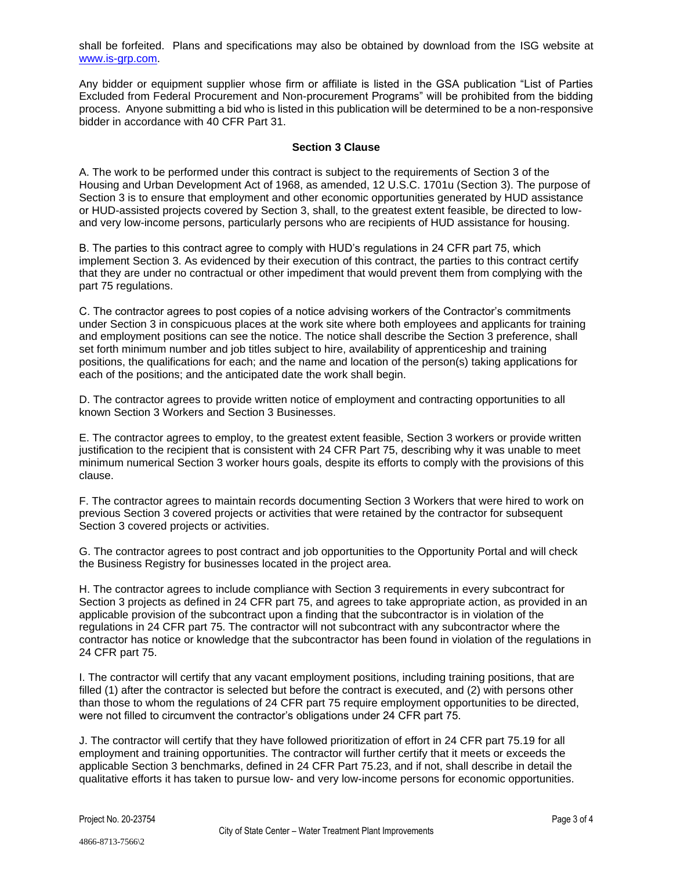shall be forfeited. Plans and specifications may also be obtained by download from the ISG website at [www.is-grp.com.](http://www.is-grp.com/)

Any bidder or equipment supplier whose firm or affiliate is listed in the GSA publication "List of Parties Excluded from Federal Procurement and Non-procurement Programs" will be prohibited from the bidding process. Anyone submitting a bid who is listed in this publication will be determined to be a non-responsive bidder in accordance with 40 CFR Part 31.

## **Section 3 Clause**

A. The work to be performed under this contract is subject to the requirements of Section 3 of the Housing and Urban Development Act of 1968, as amended, 12 U.S.C. 1701u (Section 3). The purpose of Section 3 is to ensure that employment and other economic opportunities generated by HUD assistance or HUD-assisted projects covered by Section 3, shall, to the greatest extent feasible, be directed to lowand very low-income persons, particularly persons who are recipients of HUD assistance for housing.

B. The parties to this contract agree to comply with HUD's regulations in 24 CFR part 75, which implement Section 3. As evidenced by their execution of this contract, the parties to this contract certify that they are under no contractual or other impediment that would prevent them from complying with the part 75 regulations.

C. The contractor agrees to post copies of a notice advising workers of the Contractor's commitments under Section 3 in conspicuous places at the work site where both employees and applicants for training and employment positions can see the notice. The notice shall describe the Section 3 preference, shall set forth minimum number and job titles subject to hire, availability of apprenticeship and training positions, the qualifications for each; and the name and location of the person(s) taking applications for each of the positions; and the anticipated date the work shall begin.

D. The contractor agrees to provide written notice of employment and contracting opportunities to all known Section 3 Workers and Section 3 Businesses.

E. The contractor agrees to employ, to the greatest extent feasible, Section 3 workers or provide written justification to the recipient that is consistent with 24 CFR Part 75, describing why it was unable to meet minimum numerical Section 3 worker hours goals, despite its efforts to comply with the provisions of this clause.

F. The contractor agrees to maintain records documenting Section 3 Workers that were hired to work on previous Section 3 covered projects or activities that were retained by the contractor for subsequent Section 3 covered projects or activities.

G. The contractor agrees to post contract and job opportunities to the Opportunity Portal and will check the Business Registry for businesses located in the project area.

H. The contractor agrees to include compliance with Section 3 requirements in every subcontract for Section 3 projects as defined in 24 CFR part 75, and agrees to take appropriate action, as provided in an applicable provision of the subcontract upon a finding that the subcontractor is in violation of the regulations in 24 CFR part 75. The contractor will not subcontract with any subcontractor where the contractor has notice or knowledge that the subcontractor has been found in violation of the regulations in 24 CFR part 75.

I. The contractor will certify that any vacant employment positions, including training positions, that are filled (1) after the contractor is selected but before the contract is executed, and (2) with persons other than those to whom the regulations of 24 CFR part 75 require employment opportunities to be directed, were not filled to circumvent the contractor's obligations under 24 CFR part 75.

J. The contractor will certify that they have followed prioritization of effort in 24 CFR part 75.19 for all employment and training opportunities. The contractor will further certify that it meets or exceeds the applicable Section 3 benchmarks, defined in 24 CFR Part 75.23, and if not, shall describe in detail the qualitative efforts it has taken to pursue low- and very low-income persons for economic opportunities.